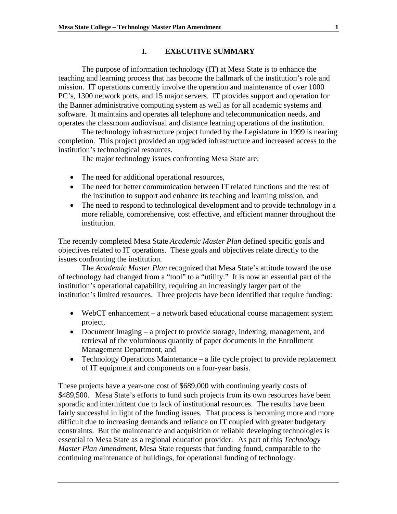## **I. EXECUTIVE SUMMARY**

The purpose of information technology (IT) at Mesa State is to enhance the teaching and learning process that has become the hallmark of the institution's role and mission. IT operations currently involve the operation and maintenance of over 1000 PC's, 1300 network ports, and 15 major servers. IT provides support and operation for the Banner administrative computing system as well as for all academic systems and software. It maintains and operates all telephone and telecommunication needs, and operates the classroom audiovisual and distance learning operations of the institution.

The technology infrastructure project funded by the Legislature in 1999 is nearing completion. This project provided an upgraded infrastructure and increased access to the institution's technological resources.

The major technology issues confronting Mesa State are:

- The need for additional operational resources,
- The need for better communication between IT related functions and the rest of the institution to support and enhance its teaching and learning mission, and
- The need to respond to technological development and to provide technology in a more reliable, comprehensive, cost effective, and efficient manner throughout the institution.

The recently completed Mesa State *Academic Master Plan* defined specific goals and objectives related to IT operations. These goals and objectives relate directly to the issues confronting the institution.

 The *Academic Master Plan* recognized that Mesa State's attitude toward the use of technology had changed from a "tool" to a "utility." It is now an essential part of the institution's operational capability, requiring an increasingly larger part of the institution's limited resources. Three projects have been identified that require funding:

- WebCT enhancement a network based educational course management system project,
- Document Imaging a project to provide storage, indexing, management, and retrieval of the voluminous quantity of paper documents in the Enrollment Management Department, and
- Technology Operations Maintenance a life cycle project to provide replacement of IT equipment and components on a four-year basis.

These projects have a year-one cost of \$689,000 with continuing yearly costs of \$489,500. Mesa State's efforts to fund such projects from its own resources have been sporadic and intermittent due to lack of institutional resources. The results have been fairly successful in light of the funding issues. That process is becoming more and more difficult due to increasing demands and reliance on IT coupled with greater budgetary constraints. But the maintenance and acquisition of reliable developing technologies is essential to Mesa State as a regional education provider. As part of this *Technology Master Plan Amendment*, Mesa State requests that funding found, comparable to the continuing maintenance of buildings, for operational funding of technology.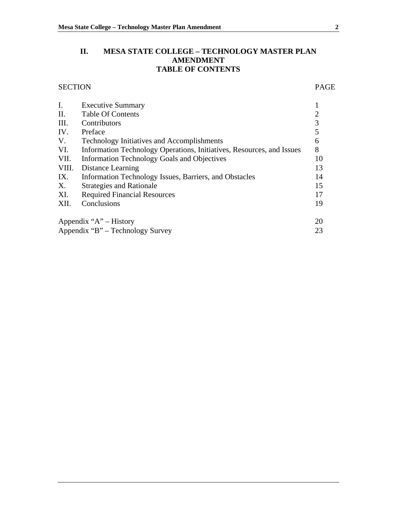# **II. MESA STATE COLLEGE – TECHNOLOGY MASTER PLAN AMENDMENT TABLE OF CONTENTS**

# SECTION PAGE

| I.    | <b>Executive Summary</b>                                              |    |
|-------|-----------------------------------------------------------------------|----|
| II.   | <b>Table Of Contents</b>                                              |    |
| III.  | Contributors                                                          | 3  |
| IV.   | Preface                                                               | 5  |
| V.    | <b>Technology Initiatives and Accomplishments</b>                     | 6  |
| VI.   | Information Technology Operations, Initiatives, Resources, and Issues | 8  |
| VII.  | <b>Information Technology Goals and Objectives</b>                    | 10 |
| VIII. | Distance Learning                                                     | 13 |
| IX.   | Information Technology Issues, Barriers, and Obstacles                | 14 |
| Х.    | <b>Strategies and Rationale</b>                                       | 15 |
| XI.   | <b>Required Financial Resources</b>                                   | 17 |
| XII.  | Conclusions                                                           | 19 |
|       | Appendix " $A$ " – History                                            | 20 |
|       | Appendix "B" – Technology Survey                                      | 23 |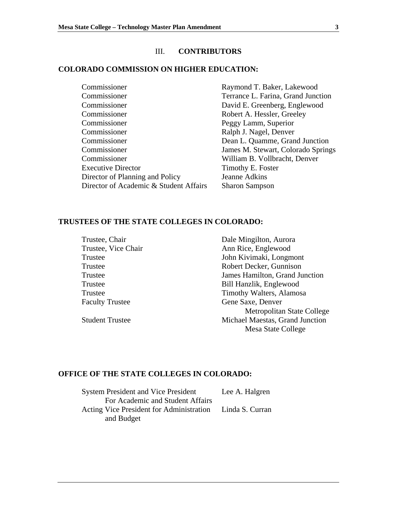# III. **CONTRIBUTORS**

## **COLORADO COMMISSION ON HIGHER EDUCATION:**

| Commissioner                           | Raymond T. Baker, Lakewood         |
|----------------------------------------|------------------------------------|
| Commissioner                           | Terrance L. Farina, Grand Junction |
| Commissioner                           | David E. Greenberg, Englewood      |
| Commissioner                           | Robert A. Hessler, Greeley         |
| Commissioner                           | Peggy Lamm, Superior               |
| Commissioner                           | Ralph J. Nagel, Denver             |
| Commissioner                           | Dean L. Quamme, Grand Junction     |
| Commissioner                           | James M. Stewart, Colorado Springs |
| Commissioner                           | William B. Vollbracht, Denver      |
| <b>Executive Director</b>              | Timothy E. Foster                  |
| Director of Planning and Policy        | Jeanne Adkins                      |
| Director of Academic & Student Affairs | <b>Sharon Sampson</b>              |

### **TRUSTEES OF THE STATE COLLEGES IN COLORADO:**

| Trustee, Chair         | Dale Mingilton, Aurora          |
|------------------------|---------------------------------|
| Trustee, Vice Chair    | Ann Rice, Englewood             |
| Trustee                | John Kivimaki, Longmont         |
| Trustee                | Robert Decker, Gunnison         |
| Trustee                | James Hamilton, Grand Junction  |
| Trustee                | Bill Hanzlik, Englewood         |
| Trustee                | Timothy Walters, Alamosa        |
| <b>Faculty Trustee</b> | Gene Saxe, Denver               |
|                        | Metropolitan State College      |
| <b>Student Trustee</b> | Michael Maestas, Grand Junction |
|                        | Mesa State College              |

# **OFFICE OF THE STATE COLLEGES IN COLORADO:**

| <b>System President and Vice President</b>               | Lee A. Halgren |
|----------------------------------------------------------|----------------|
| For Academic and Student Affairs                         |                |
| Acting Vice President for Administration Linda S. Curran |                |
| and Budget                                               |                |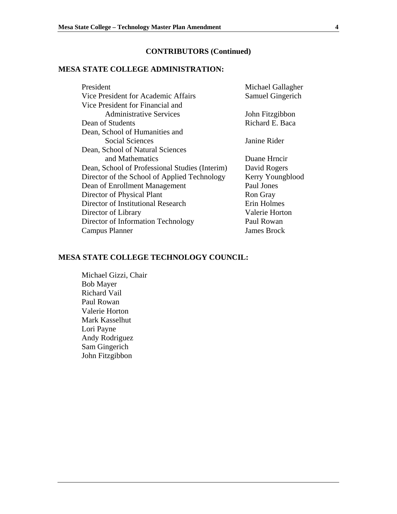# **CONTRIBUTORS (Continued)**

# **MESA STATE COLLEGE ADMINISTRATION:**

| President                                      | Michael Gallagher     |
|------------------------------------------------|-----------------------|
| Vice President for Academic Affairs            | Samuel Gingerich      |
| Vice President for Financial and               |                       |
| <b>Administrative Services</b>                 | John Fitzgibbon       |
| Dean of Students                               | Richard E. Baca       |
| Dean, School of Humanities and                 |                       |
| <b>Social Sciences</b>                         | Janine Rider          |
| Dean, School of Natural Sciences               |                       |
| and Mathematics                                | Duane Hrncir          |
| Dean, School of Professional Studies (Interim) | David Rogers          |
| Director of the School of Applied Technology   | Kerry Youngblood      |
| Dean of Enrollment Management                  | Paul Jones            |
| Director of Physical Plant                     | <b>Ron Gray</b>       |
| Director of Institutional Research             | Erin Holmes           |
| Director of Library                            | <b>Valerie Horton</b> |
| Director of Information Technology             | Paul Rowan            |
| <b>Campus Planner</b>                          | James Brock           |

## **MESA STATE COLLEGE TECHNOLOGY COUNCIL:**

 Michael Gizzi, Chair Bob Mayer Richard Vail Paul Rowan Valerie Horton Mark Kasselhut Lori Payne Andy Rodriguez Sam Gingerich John Fitzgibbon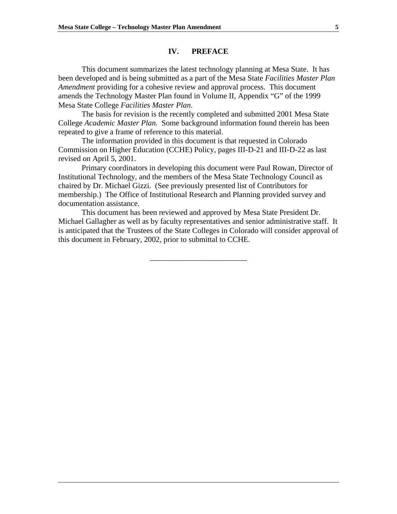## **IV. PREFACE**

This document summarizes the latest technology planning at Mesa State. It has been developed and is being submitted as a part of the Mesa State *Facilities Master Plan Amendment* providing for a cohesive review and approval process. This document amends the Technology Master Plan found in Volume II, Appendix "G" of the 1999 Mesa State College *Facilities Master Plan*.

The basis for revision is the recently completed and submitted 2001 Mesa State College *Academic Master Plan.* Some background information found therein has been repeated to give a frame of reference to this material.

The information provided in this document is that requested in Colorado Commission on Higher Education (CCHE) Policy, pages III-D-21 and III-D-22 as last revised on April 5, 2001.

Primary coordinators in developing this document were Paul Rowan, Director of Institutional Technology, and the members of the Mesa State Technology Council as chaired by Dr. Michael Gizzi. (See previously presented list of Contributors for membership.) The Office of Institutional Research and Planning provided survey and documentation assistance.

This document has been reviewed and approved by Mesa State President Dr. Michael Gallagher as well as by faculty representatives and senior administrative staff. It is anticipated that the Trustees of the State Colleges in Colorado will consider approval of this document in February, 2002, prior to submittal to CCHE.

\_\_\_\_\_\_\_\_\_\_\_\_\_\_\_\_\_\_\_\_\_\_\_\_\_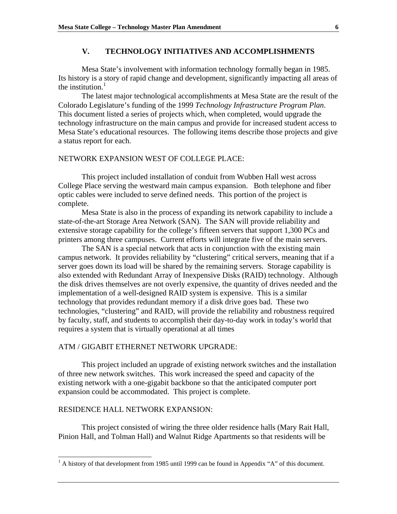## **V. TECHNOLOGY INITIATIVES AND ACCOMPLISHMENTS**

Mesa State's involvement with information technology formally began in 1985. Its history is a story of rapid change and development, significantly impacting all areas of the institution. $1$ 

 The latest major technological accomplishments at Mesa State are the result of the Colorado Legislature's funding of the 1999 *Technology Infrastructure Program Plan*. This document listed a series of projects which, when completed, would upgrade the technology infrastructure on the main campus and provide for increased student access to Mesa State's educational resources. The following items describe those projects and give a status report for each.

#### NETWORK EXPANSION WEST OF COLLEGE PLACE:

 This project included installation of conduit from Wubben Hall west across College Place serving the westward main campus expansion. Both telephone and fiber optic cables were included to serve defined needs. This portion of the project is complete.

Mesa State is also in the process of expanding its network capability to include a state-of-the-art Storage Area Network (SAN). The SAN will provide reliability and extensive storage capability for the college's fifteen servers that support 1,300 PCs and printers among three campuses. Current efforts will integrate five of the main servers.

The SAN is a special network that acts in conjunction with the existing main campus network. It provides reliability by "clustering" critical servers, meaning that if a server goes down its load will be shared by the remaining servers. Storage capability is also extended with Redundant Array of Inexpensive Disks (RAID) technology. Although the disk drives themselves are not overly expensive, the quantity of drives needed and the implementation of a well-designed RAID system is expensive. This is a similar technology that provides redundant memory if a disk drive goes bad. These two technologies, "clustering" and RAID, will provide the reliability and robustness required by faculty, staff, and students to accomplish their day-to-day work in today's world that requires a system that is virtually operational at all times

## ATM / GIGABIT ETHERNET NETWORK UPGRADE:

 This project included an upgrade of existing network switches and the installation of three new network switches. This work increased the speed and capacity of the existing network with a one-gigabit backbone so that the anticipated computer port expansion could be accommodated. This project is complete.

#### RESIDENCE HALL NETWORK EXPANSION:

 $\overline{a}$ 

 This project consisted of wiring the three older residence halls (Mary Rait Hall, Pinion Hall, and Tolman Hall) and Walnut Ridge Apartments so that residents will be

 $<sup>1</sup>$  A history of that development from 1985 until 1999 can be found in Appendix "A" of this document.</sup>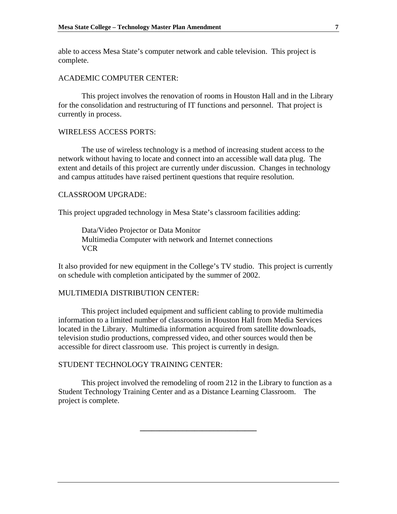able to access Mesa State's computer network and cable television. This project is complete.

#### ACADEMIC COMPUTER CENTER:

 This project involves the renovation of rooms in Houston Hall and in the Library for the consolidation and restructuring of IT functions and personnel. That project is currently in process.

#### WIRELESS ACCESS PORTS:

 The use of wireless technology is a method of increasing student access to the network without having to locate and connect into an accessible wall data plug. The extent and details of this project are currently under discussion. Changes in technology and campus attitudes have raised pertinent questions that require resolution.

#### CLASSROOM UPGRADE:

This project upgraded technology in Mesa State's classroom facilities adding:

Data/Video Projector or Data Monitor Multimedia Computer with network and Internet connections VCR

It also provided for new equipment in the College's TV studio. This project is currently on schedule with completion anticipated by the summer of 2002.

#### MULTIMEDIA DISTRIBUTION CENTER:

 This project included equipment and sufficient cabling to provide multimedia information to a limited number of classrooms in Houston Hall from Media Services located in the Library. Multimedia information acquired from satellite downloads, television studio productions, compressed video, and other sources would then be accessible for direct classroom use. This project is currently in design.

## STUDENT TECHNOLOGY TRAINING CENTER:

 This project involved the remodeling of room 212 in the Library to function as a Student Technology Training Center and as a Distance Learning Classroom. The project is complete.

**\_\_\_\_\_\_\_\_\_\_\_\_\_\_\_\_\_\_\_\_\_\_\_\_\_\_\_\_\_\_**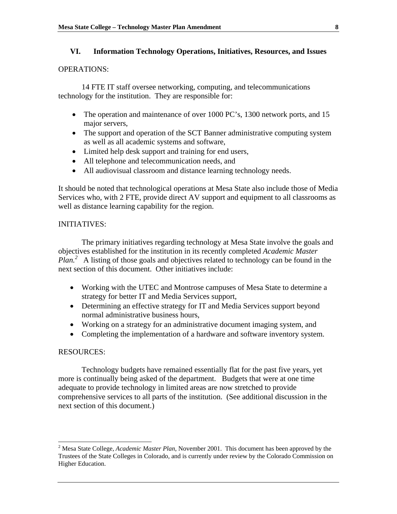## **VI. Information Technology Operations, Initiatives, Resources, and Issues**

## OPERATIONS:

14 FTE IT staff oversee networking, computing, and telecommunications technology for the institution. They are responsible for:

- The operation and maintenance of over 1000 PC's, 1300 network ports, and 15 major servers,
- The support and operation of the SCT Banner administrative computing system as well as all academic systems and software,
- Limited help desk support and training for end users,
- All telephone and telecommunication needs, and
- All audiovisual classroom and distance learning technology needs.

It should be noted that technological operations at Mesa State also include those of Media Services who, with 2 FTE, provide direct AV support and equipment to all classrooms as well as distance learning capability for the region.

## INITIATIVES:

The primary initiatives regarding technology at Mesa State involve the goals and objectives established for the institution in its recently completed *Academic Master*  Plan.<sup>2</sup> A listing of those goals and objectives related to technology can be found in the next section of this document. Other initiatives include:

- Working with the UTEC and Montrose campuses of Mesa State to determine a strategy for better IT and Media Services support,
- Determining an effective strategy for IT and Media Services support beyond normal administrative business hours,
- Working on a strategy for an administrative document imaging system, and
- Completing the implementation of a hardware and software inventory system.

#### RESOURCES:

 Technology budgets have remained essentially flat for the past five years, yet more is continually being asked of the department. Budgets that were at one time adequate to provide technology in limited areas are now stretched to provide comprehensive services to all parts of the institution. (See additional discussion in the next section of this document.)

 2 Mesa State College, *Academic Master Plan*, November 2001. This document has been approved by the Trustees of the State Colleges in Colorado, and is currently under review by the Colorado Commission on Higher Education.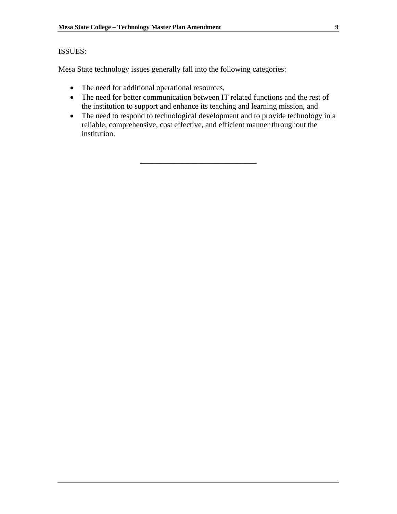## ISSUES:

Mesa State technology issues generally fall into the following categories:

- The need for additional operational resources,
- The need for better communication between IT related functions and the rest of the institution to support and enhance its teaching and learning mission, and
- The need to respond to technological development and to provide technology in a reliable, comprehensive, cost effective, and efficient manner throughout the institution.

\_\_\_\_\_\_\_\_\_\_\_\_\_\_\_\_\_\_\_\_\_\_\_\_\_\_\_\_\_\_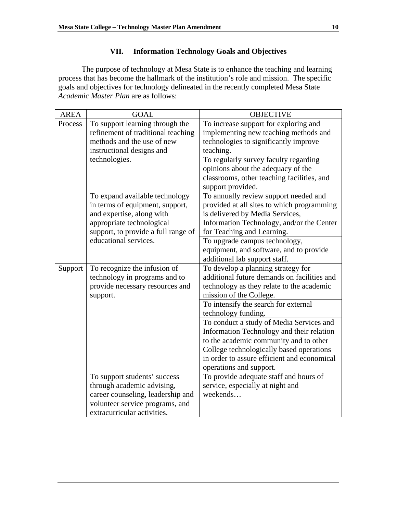# **VII. Information Technology Goals and Objectives**

 The purpose of technology at Mesa State is to enhance the teaching and learning process that has become the hallmark of the institution's role and mission. The specific goals and objectives for technology delineated in the recently completed Mesa State *Academic Master Plan* are as follows:

| <b>AREA</b> | <b>GOAL</b>                                                                                                                                                        | <b>OBJECTIVE</b>                                                                                                                                                                                                                                      |
|-------------|--------------------------------------------------------------------------------------------------------------------------------------------------------------------|-------------------------------------------------------------------------------------------------------------------------------------------------------------------------------------------------------------------------------------------------------|
| Process     | To support learning through the<br>refinement of traditional teaching<br>methods and the use of new<br>instructional designs and                                   | To increase support for exploring and<br>implementing new teaching methods and<br>technologies to significantly improve<br>teaching.                                                                                                                  |
|             | technologies.                                                                                                                                                      | To regularly survey faculty regarding<br>opinions about the adequacy of the<br>classrooms, other teaching facilities, and<br>support provided.                                                                                                        |
|             | To expand available technology<br>in terms of equipment, support,<br>and expertise, along with<br>appropriate technological<br>support, to provide a full range of | To annually review support needed and<br>provided at all sites to which programming<br>is delivered by Media Services,<br>Information Technology, and/or the Center<br>for Teaching and Learning.                                                     |
|             | educational services.                                                                                                                                              | To upgrade campus technology,<br>equipment, and software, and to provide<br>additional lab support staff.                                                                                                                                             |
| Support     | To recognize the infusion of<br>technology in programs and to<br>provide necessary resources and<br>support.                                                       | To develop a planning strategy for<br>additional future demands on facilities and<br>technology as they relate to the academic<br>mission of the College.                                                                                             |
|             |                                                                                                                                                                    | To intensify the search for external<br>technology funding.                                                                                                                                                                                           |
|             |                                                                                                                                                                    | To conduct a study of Media Services and<br>Information Technology and their relation<br>to the academic community and to other<br>College technologically based operations<br>in order to assure efficient and economical<br>operations and support. |
|             | To support students' success                                                                                                                                       | To provide adequate staff and hours of                                                                                                                                                                                                                |
|             | through academic advising,<br>career counseling, leadership and<br>volunteer service programs, and<br>extracurricular activities.                                  | service, especially at night and<br>weekends                                                                                                                                                                                                          |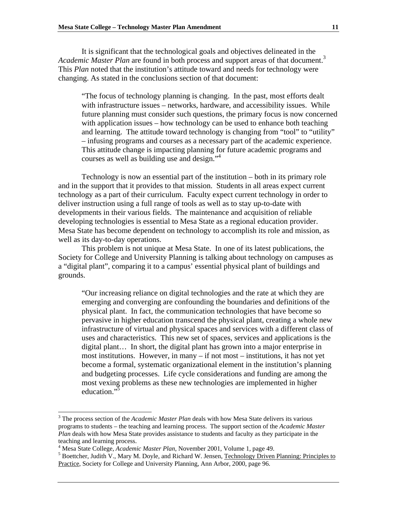It is significant that the technological goals and objectives delineated in the *Academic Master Plan* are found in both process and support areas of that document.3 This *Plan* noted that the institution's attitude toward and needs for technology were changing. As stated in the conclusions section of that document:

"The focus of technology planning is changing. In the past, most efforts dealt with infrastructure issues – networks, hardware, and accessibility issues. While future planning must consider such questions, the primary focus is now concerned with application issues – how technology can be used to enhance both teaching and learning. The attitude toward technology is changing from "tool" to "utility" – infusing programs and courses as a necessary part of the academic experience. This attitude change is impacting planning for future academic programs and courses as well as building use and design."4

Technology is now an essential part of the institution – both in its primary role and in the support that it provides to that mission. Students in all areas expect current technology as a part of their curriculum. Faculty expect current technology in order to deliver instruction using a full range of tools as well as to stay up-to-date with developments in their various fields. The maintenance and acquisition of reliable developing technologies is essential to Mesa State as a regional education provider. Mesa State has become dependent on technology to accomplish its role and mission, as well as its day-to-day operations.

 This problem is not unique at Mesa State. In one of its latest publications, the Society for College and University Planning is talking about technology on campuses as a "digital plant", comparing it to a campus' essential physical plant of buildings and grounds.

"Our increasing reliance on digital technologies and the rate at which they are emerging and converging are confounding the boundaries and definitions of the physical plant. In fact, the communication technologies that have become so pervasive in higher education transcend the physical plant, creating a whole new infrastructure of virtual and physical spaces and services with a different class of uses and characteristics. This new set of spaces, services and applications is the digital plant… In short, the digital plant has grown into a major enterprise in most institutions. However, in many – if not most – institutions, it has not yet become a formal, systematic organizational element in the institution's planning and budgeting processes. Life cycle considerations and funding are among the most vexing problems as these new technologies are implemented in higher education."

 $\overline{a}$ 

<sup>&</sup>lt;sup>3</sup> The process section of the *Academic Master Plan* deals with how Mesa State delivers its various programs to students – the teaching and learning process. The support section of the *Academic Master Plan* deals with how Mesa State provides assistance to students and faculty as they participate in the teaching and learning process.

<sup>&</sup>lt;sup>4</sup> Mesa State College, *Academic Master Plan*, November 2001, Volume 1, page 49.

<sup>&</sup>lt;sup>5</sup> Boettcher, Judith V., Mary M. Doyle, and Richard W. Jensen, Technology Driven Planning: Principles to Practice, Society for College and University Planning, Ann Arbor, 2000, page 96.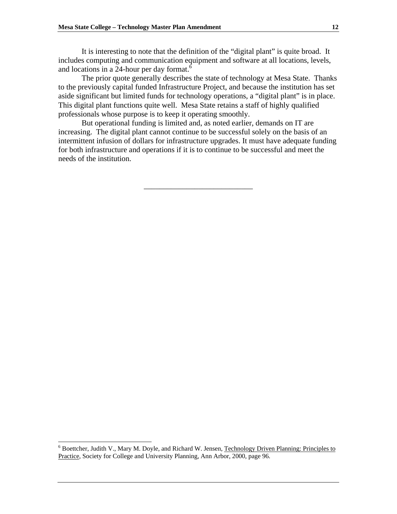It is interesting to note that the definition of the "digital plant" is quite broad. It includes computing and communication equipment and software at all locations, levels, and locations in a 24-hour per day format.<sup>6</sup>

The prior quote generally describes the state of technology at Mesa State. Thanks to the previously capital funded Infrastructure Project, and because the institution has set aside significant but limited funds for technology operations, a "digital plant" is in place. This digital plant functions quite well. Mesa State retains a staff of highly qualified professionals whose purpose is to keep it operating smoothly.

 But operational funding is limited and, as noted earlier, demands on IT are increasing. The digital plant cannot continue to be successful solely on the basis of an intermittent infusion of dollars for infrastructure upgrades. It must have adequate funding for both infrastructure and operations if it is to continue to be successful and meet the needs of the institution.

\_\_\_\_\_\_\_\_\_\_\_\_\_\_\_\_\_\_\_\_\_\_\_\_\_\_\_\_

l

<sup>&</sup>lt;sup>6</sup> Boettcher, Judith V., Mary M. Doyle, and Richard W. Jensen, Technology Driven Planning: Principles to Practice, Society for College and University Planning, Ann Arbor, 2000, page 96.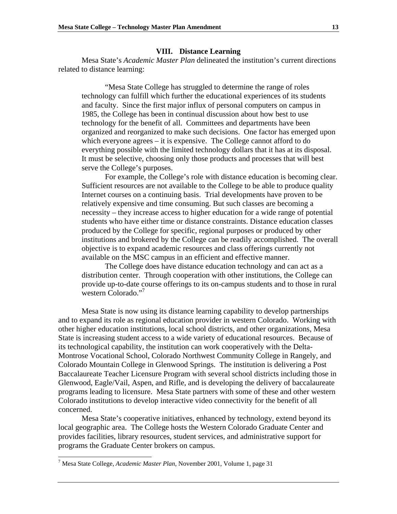#### **VIII. Distance Learning**

Mesa State's *Academic Master Plan* delineated the institution's current directions related to distance learning:

"Mesa State College has struggled to determine the range of roles technology can fulfill which further the educational experiences of its students and faculty. Since the first major influx of personal computers on campus in 1985, the College has been in continual discussion about how best to use technology for the benefit of all. Committees and departments have been organized and reorganized to make such decisions. One factor has emerged upon which everyone agrees – it is expensive. The College cannot afford to do everything possible with the limited technology dollars that it has at its disposal. It must be selective, choosing only those products and processes that will best serve the College's purposes.

For example, the College's role with distance education is becoming clear. Sufficient resources are not available to the College to be able to produce quality Internet courses on a continuing basis. Trial developments have proven to be relatively expensive and time consuming. But such classes are becoming a necessity – they increase access to higher education for a wide range of potential students who have either time or distance constraints. Distance education classes produced by the College for specific, regional purposes or produced by other institutions and brokered by the College can be readily accomplished. The overall objective is to expand academic resources and class offerings currently not available on the MSC campus in an efficient and effective manner.

The College does have distance education technology and can act as a distribution center. Through cooperation with other institutions, the College can provide up-to-date course offerings to its on-campus students and to those in rural western Colorado."<sup>7</sup>

 Mesa State is now using its distance learning capability to develop partnerships and to expand its role as regional education provider in western Colorado. Working with other higher education institutions, local school districts, and other organizations, Mesa State is increasing student access to a wide variety of educational resources. Because of its technological capability, the institution can work cooperatively with the Delta-Montrose Vocational School, Colorado Northwest Community College in Rangely, and Colorado Mountain College in Glenwood Springs. The institution is delivering a Post Baccalaureate Teacher Licensure Program with several school districts including those in Glenwood, Eagle/Vail, Aspen, and Rifle, and is developing the delivery of baccalaureate programs leading to licensure. Mesa State partners with some of these and other western Colorado institutions to develop interactive video connectivity for the benefit of all concerned.

Mesa State's cooperative initiatives, enhanced by technology, extend beyond its local geographic area. The College hosts the Western Colorado Graduate Center and provides facilities, library resources, student services, and administrative support for programs the Graduate Center brokers on campus.

 $\overline{a}$ 

<sup>7</sup> Mesa State College, *Academic Master Plan*, November 2001, Volume 1, page 31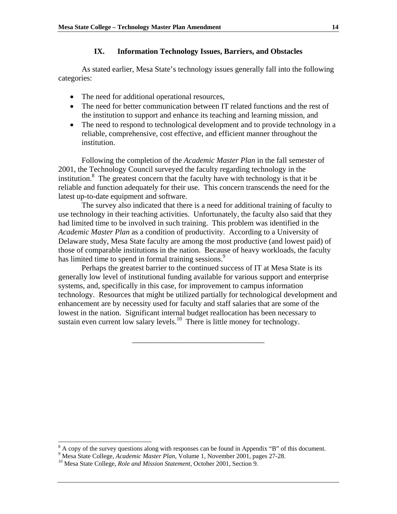## **IX. Information Technology Issues, Barriers, and Obstacles**

As stated earlier, Mesa State's technology issues generally fall into the following categories:

- The need for additional operational resources,
- The need for better communication between IT related functions and the rest of the institution to support and enhance its teaching and learning mission, and
- The need to respond to technological development and to provide technology in a reliable, comprehensive, cost effective, and efficient manner throughout the institution.

Following the completion of the *Academic Master Plan* in the fall semester of 2001, the Technology Council surveyed the faculty regarding technology in the institution. $\frac{8}{3}$  The greatest concern that the faculty have with technology is that it be reliable and function adequately for their use. This concern transcends the need for the latest up-to-date equipment and software.

The survey also indicated that there is a need for additional training of faculty to use technology in their teaching activities. Unfortunately, the faculty also said that they had limited time to be involved in such training. This problem was identified in the *Academic Master Plan* as a condition of productivity. According to a University of Delaware study, Mesa State faculty are among the most productive (and lowest paid) of those of comparable institutions in the nation. Because of heavy workloads, the faculty has limited time to spend in formal training sessions.<sup>9</sup>

Perhaps the greatest barrier to the continued success of IT at Mesa State is its generally low level of institutional funding available for various support and enterprise systems, and, specifically in this case, for improvement to campus information technology. Resources that might be utilized partially for technological development and enhancement are by necessity used for faculty and staff salaries that are some of the lowest in the nation. Significant internal budget reallocation has been necessary to sustain even current low salary levels.<sup>10</sup> There is little money for technology.

\_\_\_\_\_\_\_\_\_\_\_\_\_\_\_\_\_\_\_\_\_\_\_\_\_\_\_\_\_\_\_\_\_\_

<sup>&</sup>lt;sup>8</sup> A copy of the survey questions along with responses can be found in Appendix "B" of this document.

<sup>&</sup>lt;sup>9</sup> Mesa State College, *Academic Master Plan*, Volume 1, November 2001, pages 27-28.<br><sup>10</sup> Mesa State College, *Role and Mission Statement*, October 2001, Section 9.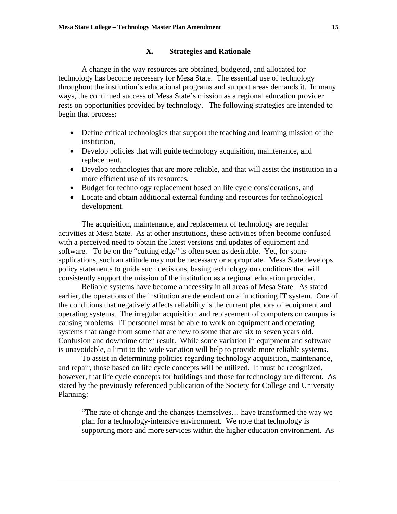## **X. Strategies and Rationale**

A change in the way resources are obtained, budgeted, and allocated for technology has become necessary for Mesa State. The essential use of technology throughout the institution's educational programs and support areas demands it. In many ways, the continued success of Mesa State's mission as a regional education provider rests on opportunities provided by technology. The following strategies are intended to begin that process:

- Define critical technologies that support the teaching and learning mission of the institution,
- Develop policies that will guide technology acquisition, maintenance, and replacement.
- Develop technologies that are more reliable, and that will assist the institution in a more efficient use of its resources,
- Budget for technology replacement based on life cycle considerations, and
- Locate and obtain additional external funding and resources for technological development.

The acquisition, maintenance, and replacement of technology are regular activities at Mesa State. As at other institutions, these activities often become confused with a perceived need to obtain the latest versions and updates of equipment and software. To be on the "cutting edge" is often seen as desirable. Yet, for some applications, such an attitude may not be necessary or appropriate. Mesa State develops policy statements to guide such decisions, basing technology on conditions that will consistently support the mission of the institution as a regional education provider.

Reliable systems have become a necessity in all areas of Mesa State. As stated earlier, the operations of the institution are dependent on a functioning IT system. One of the conditions that negatively affects reliability is the current plethora of equipment and operating systems. The irregular acquisition and replacement of computers on campus is causing problems. IT personnel must be able to work on equipment and operating systems that range from some that are new to some that are six to seven years old. Confusion and downtime often result. While some variation in equipment and software is unavoidable, a limit to the wide variation will help to provide more reliable systems.

 To assist in determining policies regarding technology acquisition, maintenance, and repair, those based on life cycle concepts will be utilized. It must be recognized, however, that life cycle concepts for buildings and those for technology are different. As stated by the previously referenced publication of the Society for College and University Planning:

"The rate of change and the changes themselves… have transformed the way we plan for a technology-intensive environment. We note that technology is supporting more and more services within the higher education environment. As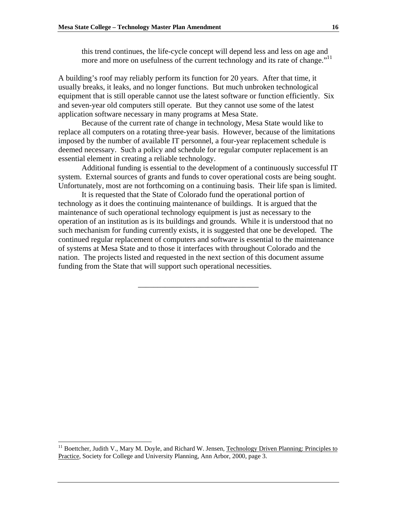this trend continues, the life-cycle concept will depend less and less on age and more and more on usefulness of the current technology and its rate of change."<sup>11</sup>

A building's roof may reliably perform its function for 20 years. After that time, it usually breaks, it leaks, and no longer functions. But much unbroken technological equipment that is still operable cannot use the latest software or function efficiently. Six and seven-year old computers still operate. But they cannot use some of the latest application software necessary in many programs at Mesa State.

Because of the current rate of change in technology, Mesa State would like to replace all computers on a rotating three-year basis. However, because of the limitations imposed by the number of available IT personnel, a four-year replacement schedule is deemed necessary. Such a policy and schedule for regular computer replacement is an essential element in creating a reliable technology.

Additional funding is essential to the development of a continuously successful IT system. External sources of grants and funds to cover operational costs are being sought. Unfortunately, most are not forthcoming on a continuing basis. Their life span is limited.

It is requested that the State of Colorado fund the operational portion of technology as it does the continuing maintenance of buildings. It is argued that the maintenance of such operational technology equipment is just as necessary to the operation of an institution as is its buildings and grounds. While it is understood that no such mechanism for funding currently exists, it is suggested that one be developed. The continued regular replacement of computers and software is essential to the maintenance of systems at Mesa State and to those it interfaces with throughout Colorado and the nation. The projects listed and requested in the next section of this document assume funding from the State that will support such operational necessities.

\_\_\_\_\_\_\_\_\_\_\_\_\_\_\_\_\_\_\_\_\_\_\_\_\_\_\_\_\_\_\_

l

<sup>&</sup>lt;sup>11</sup> Boettcher, Judith V., Mary M. Doyle, and Richard W. Jensen, Technology Driven Planning: Principles to Practice, Society for College and University Planning, Ann Arbor, 2000, page 3.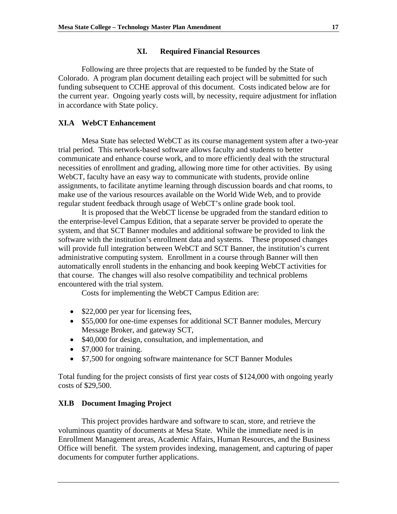#### **XI. Required Financial Resources**

 Following are three projects that are requested to be funded by the State of Colorado. A program plan document detailing each project will be submitted for such funding subsequent to CCHE approval of this document. Costs indicated below are for the current year. Ongoing yearly costs will, by necessity, require adjustment for inflation in accordance with State policy.

## **XI.A WebCT Enhancement**

Mesa State has selected WebCT as its course management system after a two-year trial period. This network-based software allows faculty and students to better communicate and enhance course work, and to more efficiently deal with the structural necessities of enrollment and grading, allowing more time for other activities. By using WebCT, faculty have an easy way to communicate with students, provide online assignments, to facilitate anytime learning through discussion boards and chat rooms, to make use of the various resources available on the World Wide Web, and to provide regular student feedback through usage of WebCT's online grade book tool.

It is proposed that the WebCT license be upgraded from the standard edition to the enterprise-level Campus Edition, that a separate server be provided to operate the system, and that SCT Banner modules and additional software be provided to link the software with the institution's enrollment data and systems. These proposed changes will provide full integration between WebCT and SCT Banner, the institution's current administrative computing system. Enrollment in a course through Banner will then automatically enroll students in the enhancing and book keeping WebCT activities for that course. The changes will also resolve compatibility and technical problems encountered with the trial system.

Costs for implementing the WebCT Campus Edition are:

- \$22,000 per year for licensing fees,
- \$55,000 for one-time expenses for additional SCT Banner modules, Mercury Message Broker, and gateway SCT,
- \$40,000 for design, consultation, and implementation, and
- \$7,000 for training.
- \$7,500 for ongoing software maintenance for SCT Banner Modules

Total funding for the project consists of first year costs of \$124,000 with ongoing yearly costs of \$29,500.

## **XI.B Document Imaging Project**

 This project provides hardware and software to scan, store, and retrieve the voluminous quantity of documents at Mesa State. While the immediate need is in Enrollment Management areas, Academic Affairs, Human Resources, and the Business Office will benefit. The system provides indexing, management, and capturing of paper documents for computer further applications.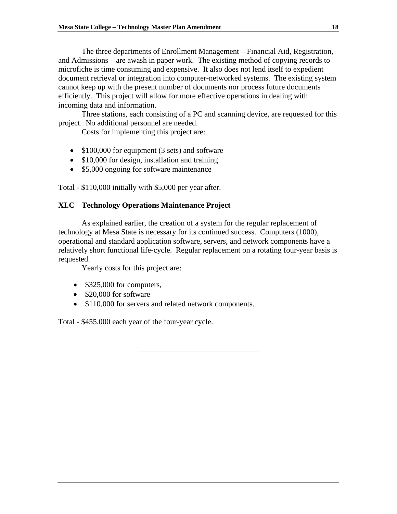The three departments of Enrollment Management – Financial Aid, Registration, and Admissions – are awash in paper work. The existing method of copying records to microfiche is time consuming and expensive. It also does not lend itself to expedient document retrieval or integration into computer-networked systems. The existing system cannot keep up with the present number of documents nor process future documents efficiently. This project will allow for more effective operations in dealing with incoming data and information.

 Three stations, each consisting of a PC and scanning device, are requested for this project. No additional personnel are needed.

Costs for implementing this project are:

- \$100,000 for equipment (3 sets) and software
- \$10,000 for design, installation and training
- \$5,000 ongoing for software maintenance

Total - \$110,000 initially with \$5,000 per year after.

## **XI.C Technology Operations Maintenance Project**

As explained earlier, the creation of a system for the regular replacement of technology at Mesa State is necessary for its continued success. Computers (1000), operational and standard application software, servers, and network components have a relatively short functional life-cycle. Regular replacement on a rotating four-year basis is requested.

\_\_\_\_\_\_\_\_\_\_\_\_\_\_\_\_\_\_\_\_\_\_\_\_\_\_\_\_\_\_\_

Yearly costs for this project are:

- \$325,000 for computers,
- \$20,000 for software
- \$110,000 for servers and related network components.

Total - \$455.000 each year of the four-year cycle.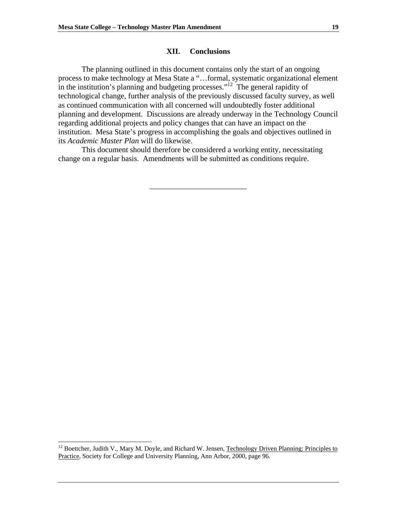#### **XII. Conclusions**

 The planning outlined in this document contains only the start of an ongoing process to make technology at Mesa State a "…formal, systematic organizational element in the institution's planning and budgeting processes."<sup>12</sup> The general rapidity of technological change, further analysis of the previously discussed faculty survey, as well as continued communication with all concerned will undoubtedly foster additional planning and development. Discussions are already underway in the Technology Council regarding additional projects and policy changes that can have an impact on the institution. Mesa State's progress in accomplishing the goals and objectives outlined in its *Academic Master Plan* will do likewise.

 This document should therefore be considered a working entity, necessitating change on a regular basis. Amendments will be submitted as conditions require.

\_\_\_\_\_\_\_\_\_\_\_\_\_\_\_\_\_\_\_\_\_\_\_\_\_

l

<sup>&</sup>lt;sup>12</sup> Boettcher, Judith V., Mary M. Doyle, and Richard W. Jensen, Technology Driven Planning: Principles to Practice, Society for College and University Planning, Ann Arbor, 2000, page 96.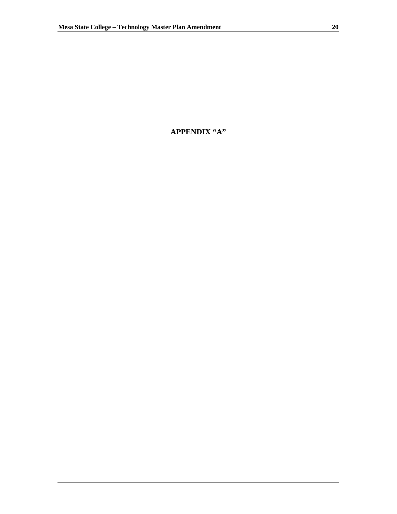# **APPENDIX "A"**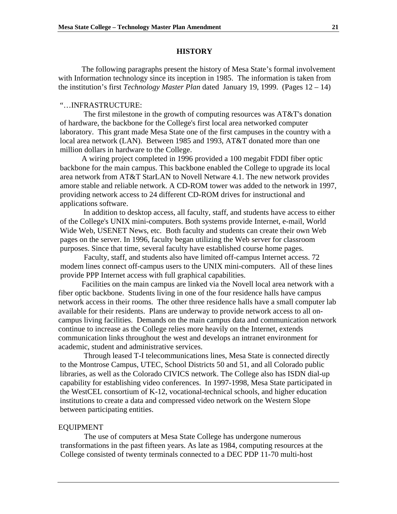#### **HISTORY**

The following paragraphs present the history of Mesa State's formal involvement with Information technology since its inception in 1985. The information is taken from the institution's first *Technology Master Plan* dated January 19, 1999. (Pages 12 – 14)

#### "…INFRASTRUCTURE:

The first milestone in the growth of computing resources was AT&T's donation of hardware, the backbone for the College's first local area networked computer laboratory. This grant made Mesa State one of the first campuses in the country with a local area network (LAN). Between 1985 and 1993, AT&T donated more than one million dollars in hardware to the College.

A wiring project completed in 1996 provided a 100 megabit FDDI fiber optic backbone for the main campus. This backbone enabled the College to upgrade its local area network from AT&T StarLAN to Novell Netware 4.1. The new network provides amore stable and reliable network. A CD-ROM tower was added to the network in 1997, providing network access to 24 different CD-ROM drives for instructional and applications software.

In addition to desktop access, all faculty, staff, and students have access to either of the College's UNIX mini-computers. Both systems provide Internet, e-mail, World Wide Web, USENET News, etc. Both faculty and students can create their own Web pages on the server. In 1996, faculty began utilizing the Web server for classroom purposes. Since that time, several faculty have established course home pages.

Faculty, staff, and students also have limited off-campus Internet access. 72 modem lines connect off-campus users to the UNIX mini-computers. All of these lines provide PPP Internet access with full graphical capabilities.

 Facilities on the main campus are linked via the Novell local area network with a fiber optic backbone. Students living in one of the four residence halls have campus network access in their rooms. The other three residence halls have a small computer lab available for their residents. Plans are underway to provide network access to all oncampus living facilities. Demands on the main campus data and communication network continue to increase as the College relies more heavily on the Internet, extends communication links throughout the west and develops an intranet environment for academic, student and administrative services.

Through leased T-I telecommunications lines, Mesa State is connected directly to the Montrose Campus, UTEC, School Districts 50 and 51, and all Colorado public libraries, as well as the Colorado CIVICS network. The College also has ISDN dial-up capability for establishing video conferences. In 1997-1998, Mesa State participated in the WestCEL consortium of K-12, vocational-technical schools, and higher education institutions to create a data and compressed video network on the Western Slope between participating entities.

#### EQUIPMENT

The use of computers at Mesa State College has undergone numerous transformations in the past fifteen years. As late as 1984, computing resources at the College consisted of twenty terminals connected to a DEC PDP 11-70 multi-host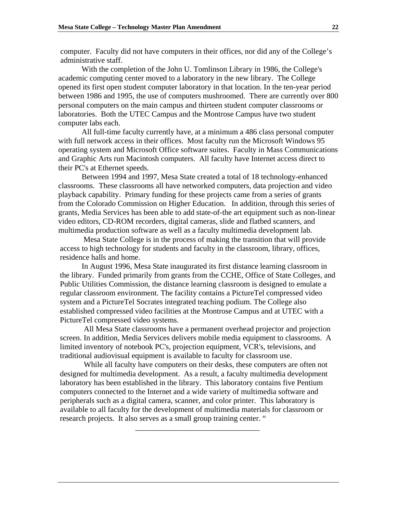computer. Faculty did not have computers in their offices, nor did any of the College's administrative staff.

With the completion of the John U. Tomlinson Library in 1986, the College's academic computing center moved to a laboratory in the new library. The College opened its first open student computer laboratory in that location. In the ten-year period between 1986 and 1995, the use of computers mushroomed. There are currently over 800 personal computers on the main campus and thirteen student computer classrooms or laboratories. Both the UTEC Campus and the Montrose Campus have two student computer labs each.

All full-time faculty currently have, at a minimum a 486 class personal computer with full network access in their offices. Most faculty run the Microsoft Windows 95 operating system and Microsoft Office software suites. Faculty in Mass Communications and Graphic Arts run Macintosh computers. All faculty have Internet access direct to their PC's at Ethernet speeds.

 Between 1994 and 1997, Mesa State created a total of 18 technology-enhanced classrooms. These classrooms all have networked computers, data projection and video playback capability. Primary funding for these projects came from a series of grants from the Colorado Commission on Higher Education. In addition, through this series of grants, Media Services has been able to add state-of-the art equipment such as non-linear video editors, CD-ROM recorders, digital cameras, slide and flatbed scanners, and multimedia production software as well as a faculty multimedia development lab.

Mesa State College is in the process of making the transition that will provide access to high technology for students and faculty in the classroom, library, offices, residence halls and home.

In August 1996, Mesa State inaugurated its first distance learning classroom in the library. Funded primarily from grants from the CCHE, Office of State Colleges, and Public Utilities Commission, the distance learning classroom is designed to emulate a regular classroom environment. The facility contains a PictureTel compressed video system and a PictureTel Socrates integrated teaching podium. The College also established compressed video facilities at the Montrose Campus and at UTEC with a PictureTel compressed video systems.

All Mesa State classrooms have a permanent overhead projector and projection screen. In addition, Media Services delivers mobile media equipment to classrooms. A limited inventory of notebook PC's, projection equipment, VCR's, televisions, and traditional audiovisual equipment is available to faculty for classroom use.

While all faculty have computers on their desks, these computers are often not designed for multimedia development. As a result, a faculty multimedia development laboratory has been established in the library. This laboratory contains five Pentium computers connected to the Internet and a wide variety of multimedia software and peripherals such as a digital camera, scanner, and color printer. This laboratory is available to all faculty for the development of multimedia materials for classroom or research projects. It also serves as a small group training center. "

\_\_\_\_\_\_\_\_\_\_\_\_\_\_\_\_\_\_\_\_\_\_\_\_\_\_\_\_\_\_\_\_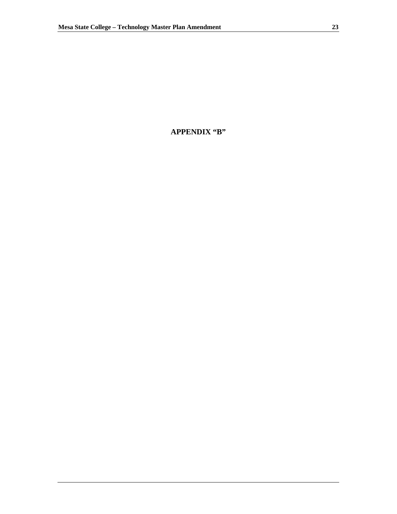# **APPENDIX "B"**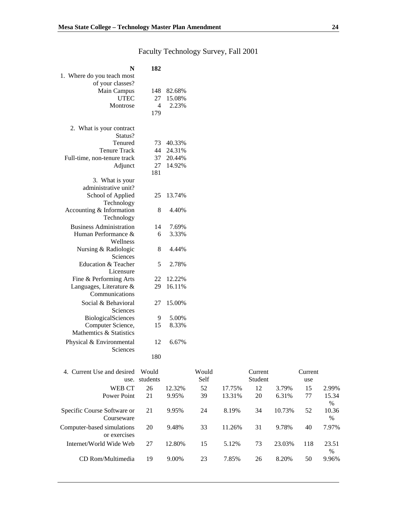Internet/World Wide Web 27 12.80% 15 5.12% 73 23.03% 118 23.51

CD Rom/Multimedia 19 9.00% 23 7.85% 26 8.20% 50

| N                              | 182                   |        |       |        |         |        |         |       |
|--------------------------------|-----------------------|--------|-------|--------|---------|--------|---------|-------|
| 1. Where do you teach most     |                       |        |       |        |         |        |         |       |
| of your classes?               |                       |        |       |        |         |        |         |       |
| Main Campus<br><b>UTEC</b>     | 148                   | 82.68% |       |        |         |        |         |       |
|                                | 27                    | 15.08% |       |        |         |        |         |       |
| Montrose                       | $\overline{4}$<br>179 | 2.23%  |       |        |         |        |         |       |
|                                |                       |        |       |        |         |        |         |       |
| 2. What is your contract       |                       |        |       |        |         |        |         |       |
| Status?                        |                       |        |       |        |         |        |         |       |
| Tenured                        | 73                    | 40.33% |       |        |         |        |         |       |
| <b>Tenure Track</b>            | 44                    | 24.31% |       |        |         |        |         |       |
| Full-time, non-tenure track    | 37                    | 20.44% |       |        |         |        |         |       |
| Adjunct                        | 27                    | 14.92% |       |        |         |        |         |       |
| 3. What is your                | 181                   |        |       |        |         |        |         |       |
| administrative unit?           |                       |        |       |        |         |        |         |       |
| School of Applied              | 25                    | 13.74% |       |        |         |        |         |       |
| Technology                     |                       |        |       |        |         |        |         |       |
| Accounting & Information       | 8                     | 4.40%  |       |        |         |        |         |       |
| Technology                     |                       |        |       |        |         |        |         |       |
| <b>Business Administration</b> | 14                    | 7.69%  |       |        |         |        |         |       |
| Human Performance &            | 6                     | 3.33%  |       |        |         |        |         |       |
| Wellness                       |                       |        |       |        |         |        |         |       |
| Nursing & Radiologic           | 8                     | 4.44%  |       |        |         |        |         |       |
| Sciences                       |                       |        |       |        |         |        |         |       |
| Education & Teacher            | 5                     | 2.78%  |       |        |         |        |         |       |
| Licensure                      |                       |        |       |        |         |        |         |       |
| Fine & Performing Arts         | 22                    | 12.22% |       |        |         |        |         |       |
| Languages, Literature &        | 29                    | 16.11% |       |        |         |        |         |       |
| Communications                 |                       |        |       |        |         |        |         |       |
| Social & Behavioral            | 27                    | 15.00% |       |        |         |        |         |       |
| Sciences                       |                       |        |       |        |         |        |         |       |
| BiologicalSciences             | 9                     | 5.00%  |       |        |         |        |         |       |
| Computer Science,              | 15                    | 8.33%  |       |        |         |        |         |       |
| Mathemtics & Statistics        |                       |        |       |        |         |        |         |       |
| Physical & Environmental       | 12                    | 6.67%  |       |        |         |        |         |       |
| Sciences                       |                       |        |       |        |         |        |         |       |
|                                | 180                   |        |       |        |         |        |         |       |
| 4. Current Use and desired     | Would                 |        | Would |        | Current |        | Current |       |
|                                | use. students         |        | Self  |        | Student |        | use     |       |
| WEB CT                         | 26                    | 12.32% | 52    | 17.75% | 12      | 3.79%  | 15      | 2.99% |
| Power Point                    | 21                    | 9.95%  | 39    | 13.31% | 20      | 6.31%  | 77      | 15.34 |
|                                |                       |        |       |        |         |        |         | $\%$  |
| Specific Course Software or    | 21                    | 9.95%  | 24    | 8.19%  | 34      | 10.73% | 52      | 10.36 |
| Courseware                     |                       |        |       |        |         |        |         | $\%$  |
| Computer-based simulations     | 20                    | 9.48%  | 33    | 11.26% | 31      | 9.78%  | 40      | 7.97% |
| or exercises                   |                       |        |       |        |         |        |         |       |

%<br>9.96%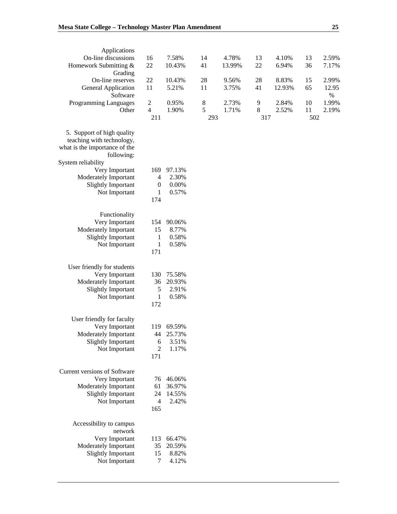| Applications                           |                  |        |       |        |         |        |     |               |
|----------------------------------------|------------------|--------|-------|--------|---------|--------|-----|---------------|
| On-line discussions                    | 16               | 7.58%  | 14    | 4.78%  | 13      | 4.10%  | 13  | 2.59%         |
| Homework Submitting &                  | 22               | 10.43% | 41    | 13.99% | 22      | 6.94%  | 36  | 7.17%         |
| Grading                                |                  |        |       |        |         |        |     |               |
| On-line reserves                       | 22               | 10.43% | 28    | 9.56%  | 28      | 8.83%  | 15  | 2.99%         |
| <b>General Application</b><br>Software | 11               | 5.21%  | 11    | 3.75%  | 41      | 12.93% | 65  | 12.95<br>$\%$ |
| Programming Languages                  | $\overline{c}$   | 0.95%  | $8\,$ | 2.73%  | 9       | 2.84%  | 10  | 1.99%         |
| Other                                  | $\overline{4}$   | 1.90%  | 5     | 1.71%  | $\,8\,$ | 2.52%  | 11  | 2.19%         |
|                                        | 211              |        | 293   |        | 317     |        | 502 |               |
|                                        |                  |        |       |        |         |        |     |               |
| 5. Support of high quality             |                  |        |       |        |         |        |     |               |
| teaching with technology,              |                  |        |       |        |         |        |     |               |
| what is the importance of the          |                  |        |       |        |         |        |     |               |
| following:                             |                  |        |       |        |         |        |     |               |
| System reliability                     |                  |        |       |        |         |        |     |               |
| Very Important                         | 169              | 97.13% |       |        |         |        |     |               |
| Moderately Important                   | $\overline{4}$   | 2.30%  |       |        |         |        |     |               |
| <b>Slightly Important</b>              | $\boldsymbol{0}$ | 0.00%  |       |        |         |        |     |               |
| Not Important                          | 1                | 0.57%  |       |        |         |        |     |               |
|                                        | 174              |        |       |        |         |        |     |               |
|                                        |                  |        |       |        |         |        |     |               |
| Functionality                          |                  |        |       |        |         |        |     |               |
| Very Important                         | 154              | 90.06% |       |        |         |        |     |               |
| Moderately Important                   | 15               | 8.77%  |       |        |         |        |     |               |
| <b>Slightly Important</b>              | 1                | 0.58%  |       |        |         |        |     |               |
| Not Important                          | $\mathbf{1}$     | 0.58%  |       |        |         |        |     |               |
|                                        | 171              |        |       |        |         |        |     |               |
|                                        |                  |        |       |        |         |        |     |               |
| User friendly for students             |                  |        |       |        |         |        |     |               |
| Very Important                         | 130              | 75.58% |       |        |         |        |     |               |
| Moderately Important                   |                  |        |       |        |         |        |     |               |
|                                        | 36               | 20.93% |       |        |         |        |     |               |
| <b>Slightly Important</b>              | 5                | 2.91%  |       |        |         |        |     |               |
| Not Important                          | $\mathbf{1}$     | 0.58%  |       |        |         |        |     |               |
|                                        | 172              |        |       |        |         |        |     |               |
|                                        |                  |        |       |        |         |        |     |               |
| User friendly for faculty              |                  |        |       |        |         |        |     |               |
| Very Important                         | 119              | 69.59% |       |        |         |        |     |               |
| Moderately Important                   | 44               | 25.73% |       |        |         |        |     |               |
| <b>Slightly Important</b>              | 6                | 3.51%  |       |        |         |        |     |               |
| Not Important                          | 2                | 1.17%  |       |        |         |        |     |               |
|                                        | 171              |        |       |        |         |        |     |               |
|                                        |                  |        |       |        |         |        |     |               |
| Current versions of Software           |                  |        |       |        |         |        |     |               |
| Very Important                         | 76               | 46.06% |       |        |         |        |     |               |
| Moderately Important                   | 61               | 36.97% |       |        |         |        |     |               |
| Slightly Important                     | 24               | 14.55% |       |        |         |        |     |               |
| Not Important                          | $\overline{4}$   | 2.42%  |       |        |         |        |     |               |
|                                        | 165              |        |       |        |         |        |     |               |
|                                        |                  |        |       |        |         |        |     |               |
| Accessibility to campus                |                  |        |       |        |         |        |     |               |
| network                                |                  |        |       |        |         |        |     |               |
| Very Important                         | 113              | 66.47% |       |        |         |        |     |               |
| Moderately Important                   | 35               | 20.59% |       |        |         |        |     |               |
| <b>Slightly Important</b>              | 15               | 8.82%  |       |        |         |        |     |               |
| Not Important                          | 7                | 4.12%  |       |        |         |        |     |               |
|                                        |                  |        |       |        |         |        |     |               |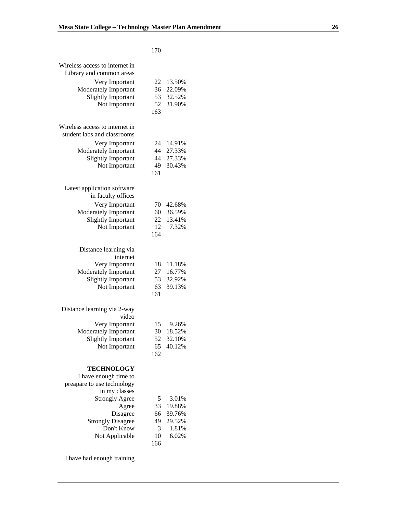## 170

| Wireless access to internet in<br>Library and common areas |           |        |
|------------------------------------------------------------|-----------|--------|
| Very Important                                             | 22        | 13.50% |
| Moderately Important                                       | 36        | 22.09% |
| Slightly Important                                         | 53        | 32.52% |
| Not Important                                              | 52<br>163 | 31.90% |
|                                                            |           |        |
| Wireless access to internet in                             |           |        |
| student labs and classrooms                                |           |        |
| Very Important                                             | 24        | 14.91% |
| Moderately Important                                       | 44        | 27.33% |
| <b>Slightly Important</b>                                  | 44        | 27.33% |
| Not Important                                              | 49        | 30.43% |
|                                                            | 161       |        |
| Latest application software                                |           |        |
| in faculty offices                                         |           |        |
| Very Important                                             | 70        | 42.68% |
| Moderately Important                                       | 60        | 36.59% |
| <b>Slightly Important</b>                                  | 22        | 13.41% |
| Not Important                                              | 12        | 7.32%  |
|                                                            | 164       |        |
| Distance learning via                                      |           |        |
| internet                                                   |           |        |
| Very Important                                             | 18        | 11.18% |
| Moderately Important                                       | 27        | 16.77% |
| <b>Slightly Important</b>                                  | 53        | 32.92% |
| Not Important                                              | 63        | 39.13% |
|                                                            | 161       |        |
|                                                            |           |        |
| Distance learning via 2-way<br>video                       |           |        |
| Very Important                                             | 15        | 9.26%  |
| Moderately Important                                       | 30        | 18.52% |
| <b>Slightly Important</b>                                  | 52        | 32.10% |
| Not Important                                              | 65        | 40.12% |
|                                                            | 162       |        |
|                                                            |           |        |
| <b>TECHNOLOGY</b>                                          |           |        |
| I have enough time to<br>preapare to use technology        |           |        |
| in my classes                                              |           |        |
| <b>Strongly Agree</b>                                      | 5         | 3.01%  |
| Agree                                                      | 33        | 19.88% |
| Disagree                                                   | 66        | 39.76% |
| <b>Strongly Disagree</b>                                   | 49        | 29.52% |
| Don't Know                                                 | 3         | 1.81%  |
| Not Applicable                                             | 10        | 6.02%  |
|                                                            | 166       |        |

I have had enough training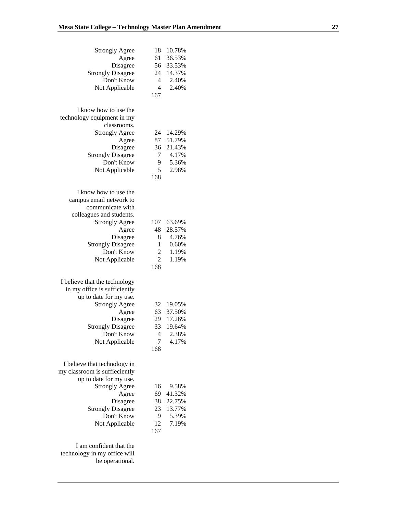| <b>Strongly Agree</b>                           | 18             | 10.78% |  |
|-------------------------------------------------|----------------|--------|--|
| Agree                                           | 61             | 36.53% |  |
| Disagree                                        | 56             | 33.53% |  |
| <b>Strongly Disagree</b>                        | 24             | 14.37% |  |
| Don't Know                                      | 4              | 2.40%  |  |
| Not Applicable                                  | $\overline{4}$ | 2.40%  |  |
|                                                 | 167            |        |  |
|                                                 |                |        |  |
|                                                 |                |        |  |
| I know how to use the                           |                |        |  |
| technology equipment in my                      |                |        |  |
| classrooms.                                     |                |        |  |
| <b>Strongly Agree</b>                           | 24             | 14.29% |  |
| Agree                                           | 87             | 51.79% |  |
| Disagree                                        | 36             | 21.43% |  |
| <b>Strongly Disagree</b>                        | 7              | 4.17%  |  |
| Don't Know                                      | 9              | 5.36%  |  |
| Not Applicable                                  | 5              | 2.98%  |  |
|                                                 | 168            |        |  |
|                                                 |                |        |  |
|                                                 |                |        |  |
| I know how to use the                           |                |        |  |
| campus email network to                         |                |        |  |
| communicate with                                |                |        |  |
| colleagues and students.                        |                |        |  |
| <b>Strongly Agree</b>                           | 107            | 63.69% |  |
| Agree                                           | 48             | 28.57% |  |
| Disagree                                        | 8              | 4.76%  |  |
| <b>Strongly Disagree</b>                        | 1              | 0.60%  |  |
| Don't Know                                      |                | 1.19%  |  |
|                                                 | $\overline{c}$ |        |  |
| Not Applicable                                  | $\overline{2}$ | 1.19%  |  |
|                                                 | 168            |        |  |
|                                                 |                |        |  |
| I believe that the technology                   |                |        |  |
| in my office is sufficiently                    |                |        |  |
| up to date for my use.                          |                |        |  |
| <b>Strongly Agree</b>                           | 32             | 19.05% |  |
| Agree                                           | 63             | 37.50% |  |
| Disagree                                        | 29             | 17.26% |  |
| <b>Strongly Disagree</b>                        | 33             | 19.64% |  |
|                                                 |                |        |  |
| Don't Know                                      | 4              | 2.38%  |  |
| Not Applicable                                  | 7              | 4.17%  |  |
|                                                 | 168            |        |  |
|                                                 |                |        |  |
| I believe that technology in                    |                |        |  |
| my classroom is suffieciently                   |                |        |  |
| up to date for my use.                          |                |        |  |
| <b>Strongly Agree</b>                           | 16             | 9.58%  |  |
|                                                 |                |        |  |
|                                                 |                |        |  |
| Agree                                           | 69             | 41.32% |  |
| Disagree                                        | 38             | 22.75% |  |
| <b>Strongly Disagree</b>                        | 23             | 13.77% |  |
| Don't Know                                      | 9              | 5.39%  |  |
| Not Applicable                                  | 12             | 7.19%  |  |
|                                                 | 167            |        |  |
|                                                 |                |        |  |
| I am confident that the                         |                |        |  |
| technology in my office will<br>be operational. |                |        |  |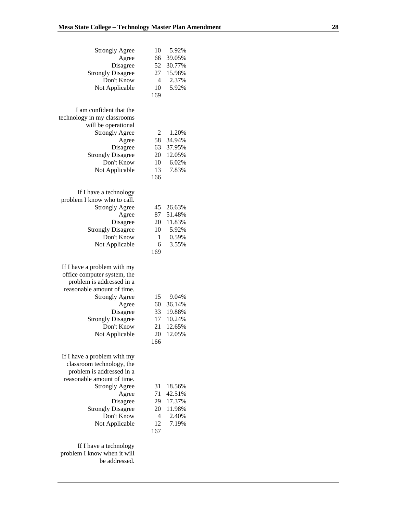| <b>Strongly Agree</b><br>Agree<br>Disagree<br><b>Strongly Disagree</b><br>Don't Know                                                                                                                                            | 10<br>66<br>52<br>27<br>$\overline{4}$              | 5.92%<br>39.05%<br>30.77%<br>15.98%<br>2.37%            |
|---------------------------------------------------------------------------------------------------------------------------------------------------------------------------------------------------------------------------------|-----------------------------------------------------|---------------------------------------------------------|
| Not Applicable                                                                                                                                                                                                                  | 10<br>169                                           | 5.92%                                                   |
| I am confident that the<br>technology in my classrooms<br>will be operational<br><b>Strongly Agree</b><br>Agree<br>Disagree<br><b>Strongly Disagree</b><br>Don't Know<br>Not Applicable<br>If I have a technology               | $\overline{c}$<br>58<br>63<br>20<br>10<br>13<br>166 | 1.20%<br>34.94%<br>37.95%<br>12.05%<br>6.02%<br>7.83%   |
| problem I know who to call.<br><b>Strongly Agree</b><br>Agree<br>Disagree<br><b>Strongly Disagree</b><br>Don't Know<br>Not Applicable                                                                                           | 45<br>87<br>20<br>10<br>1<br>6<br>169               | 26.63%<br>51.48%<br>11.83%<br>5.92%<br>0.59%<br>3.55%   |
| If I have a problem with my<br>office computer system, the<br>problem is addressed in a<br>reasonable amount of time.<br><b>Strongly Agree</b><br>Agree<br>Disagree<br><b>Strongly Disagree</b><br>Don't Know<br>Not Applicable | 15<br>60<br>33<br>17<br>21<br>20<br>166             | 9.04%<br>36.14%<br>19.88%<br>10.24%<br>12.65%<br>12.05% |
| If I have a problem with my<br>classroom technology, the<br>problem is addressed in a<br>reasonable amount of time.<br><b>Strongly Agree</b><br>Agree<br>Disagree<br><b>Strongly Disagree</b><br>Don't Know<br>Not Applicable   | 31<br>71<br>29<br>20<br>4<br>12<br>167              | 18.56%<br>42.51%<br>17.37%<br>11.98%<br>2.40%<br>7.19%  |
| If I have a technology<br>problem I know when it will<br>be addressed.                                                                                                                                                          |                                                     |                                                         |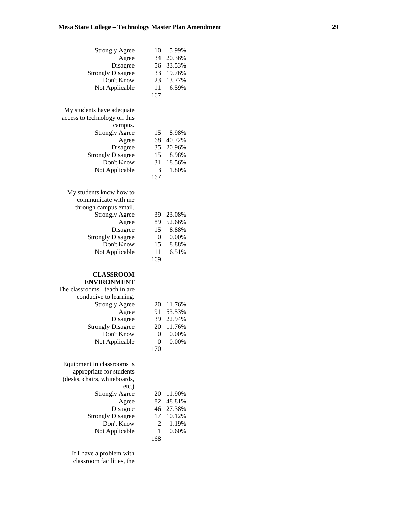| <b>Strongly Agree</b>                                  | 10               | 5.99%          |  |
|--------------------------------------------------------|------------------|----------------|--|
| Agree                                                  | 34               | 20.36%         |  |
| Disagree                                               | 56               | 33.53%         |  |
| <b>Strongly Disagree</b>                               | 33               | 19.76%         |  |
| Don't Know                                             | 23               | 13.77%         |  |
| Not Applicable                                         | 11               | 6.59%          |  |
|                                                        | 167              |                |  |
| My students have adequate                              |                  |                |  |
| access to technology on this                           |                  |                |  |
| campus.                                                |                  |                |  |
| <b>Strongly Agree</b>                                  | 15               | 8.98%          |  |
| Agree                                                  | 68               | 40.72%         |  |
| Disagree                                               | 35               | 20.96%         |  |
| <b>Strongly Disagree</b>                               | 15               | 8.98%          |  |
| Don't Know                                             | 31               | 18.56%         |  |
| Not Applicable                                         | 3                | 1.80%          |  |
|                                                        | 167              |                |  |
| My students know how to                                |                  |                |  |
| communicate with me                                    |                  |                |  |
| through campus email.                                  |                  |                |  |
| <b>Strongly Agree</b>                                  | 39               | 23.08%         |  |
| Agree                                                  | 89               | 52.66%         |  |
| Disagree                                               | 15               | 8.88%          |  |
| <b>Strongly Disagree</b>                               | $\boldsymbol{0}$ | 0.00%          |  |
| Don't Know                                             | 15               | 8.88%          |  |
| Not Applicable                                         | 11               | 6.51%          |  |
|                                                        | 169              |                |  |
|                                                        |                  |                |  |
| <b>CLASSROOM</b><br><b>ENVIRONMENT</b>                 |                  |                |  |
| The classrooms I teach in are                          |                  |                |  |
| conducive to learning.                                 |                  |                |  |
| <b>Strongly Agree</b>                                  | 20               | 11.76%         |  |
| Agree                                                  | 91               | 53.53%         |  |
| Disagree                                               | 39               | 22.94%         |  |
| <b>Strongly Disagree</b>                               | 20               | 11.76%         |  |
| Don't Know                                             | 0                | 0.00%          |  |
| Not Applicable                                         | 0                | 0.00%          |  |
|                                                        | 170              |                |  |
|                                                        |                  |                |  |
| Equipment in classrooms is<br>appropriate for students |                  |                |  |
|                                                        |                  |                |  |
| (desks, chairs, whiteboards,                           |                  |                |  |
| etc.)                                                  |                  |                |  |
| <b>Strongly Agree</b>                                  | 20               | 11.90%         |  |
| Agree                                                  | 82               | 48.81%         |  |
| Disagree                                               | 46               | 27.38%         |  |
| <b>Strongly Disagree</b><br>Don't Know                 | 17<br>2          | 10.12%         |  |
| Not Applicable                                         | 1                | 1.19%<br>0.60% |  |
|                                                        | 168              |                |  |
|                                                        |                  |                |  |
| If I have a problem with                               |                  |                |  |

classroom facilities, the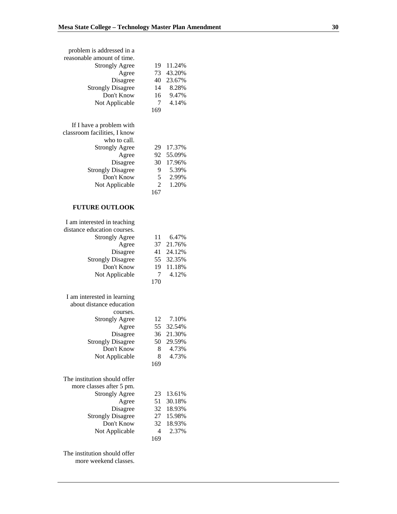| problem is addressed in a    |                |           |
|------------------------------|----------------|-----------|
| reasonable amount of time.   |                |           |
| <b>Strongly Agree</b>        | 19             | 11.24%    |
| Agree                        | 73             | 43.20%    |
| Disagree                     | 40             | 23.67%    |
| <b>Strongly Disagree</b>     | 14             | 8.28%     |
| Don't Know                   | 16             | 9.47%     |
|                              | 7              | 4.14%     |
| Not Applicable               |                |           |
|                              | 169            |           |
|                              |                |           |
| If I have a problem with     |                |           |
| classroom facilities, I know |                |           |
| who to call.                 |                |           |
| <b>Strongly Agree</b>        | 29             | 17.37%    |
| Agree                        | 92             | 55.09%    |
| Disagree                     | 30             | 17.96%    |
| <b>Strongly Disagree</b>     | 9              | 5.39%     |
| Don't Know                   | 5              | 2.99%     |
| Not Applicable               | $\overline{2}$ | 1.20%     |
|                              | 167            |           |
|                              |                |           |
| <b>FUTURE OUTLOOK</b>        |                |           |
| I am interested in teaching  |                |           |
| distance education courses.  |                |           |
|                              |                |           |
| <b>Strongly Agree</b>        | 11             | 6.47%     |
| Agree                        | 37             | 21.76%    |
| Disagree                     |                | 41 24.12% |
| <b>Strongly Disagree</b>     |                | 55 32.35% |
| Don't Know                   | 19             | 11.18%    |
| Not Applicable               | 7              | 4.12%     |
|                              | 170            |           |
|                              |                |           |
| I am interested in learning  |                |           |
| about distance education     |                |           |
| courses.                     |                |           |
| <b>Strongly Agree</b>        | 12             | 7.10%     |
| Agree                        |                | 55 32.54% |
| Disagree                     | 36             | 21.30%    |
| <b>Strongly Disagree</b>     | 50             | 29.59%    |
| Don't Know                   |                |           |
|                              |                |           |
|                              | 8              | 4.73%     |
| Not Applicable               | 8              | 4.73%     |
|                              | 169            |           |
|                              |                |           |
| The institution should offer |                |           |
| more classes after 5 pm.     |                |           |
| <b>Strongly Agree</b>        | 23             | 13.61%    |
| Agree                        | 51             | 30.18%    |
| Disagree                     | 32             | 18.93%    |
| <b>Strongly Disagree</b>     | 27             | 15.98%    |
| Don't Know                   | 32             | 18.93%    |
| Not Applicable               | 4              | 2.37%     |
|                              | 169            |           |

The institution should offer more weekend classes.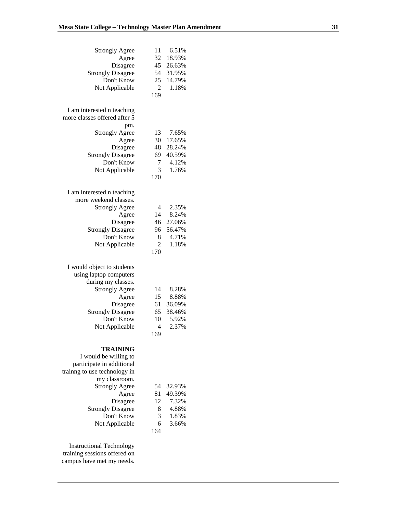| <b>Strongly Agree</b>                  | 11             | 6.51%  |
|----------------------------------------|----------------|--------|
| Agree                                  | 32             | 18.93% |
| Disagree                               | 45             | 26.63% |
| <b>Strongly Disagree</b>               | 54             | 31.95% |
| Don't Know                             | 25             | 14.79% |
| Not Applicable                         | $\overline{2}$ | 1.18%  |
|                                        | 169            |        |
|                                        |                |        |
| I am interested n teaching             |                |        |
| more classes offered after 5           |                |        |
| pm.                                    |                |        |
| <b>Strongly Agree</b>                  | 13             | 7.65%  |
| Agree                                  | 30             | 17.65% |
|                                        | 48             | 28.24% |
| Disagree                               |                |        |
| <b>Strongly Disagree</b><br>Don't Know | 69             | 40.59% |
|                                        | 7              | 4.12%  |
| Not Applicable                         | 3              | 1.76%  |
|                                        | 170            |        |
|                                        |                |        |
| I am interested n teaching             |                |        |
| more weekend classes.                  |                |        |
| <b>Strongly Agree</b>                  | 4              | 2.35%  |
| Agree                                  | 14             | 8.24%  |
| Disagree                               | 46             | 27.06% |
| <b>Strongly Disagree</b>               | 96             | 56.47% |
| Don't Know                             | 8              | 4.71%  |
| Not Applicable                         | $\overline{2}$ | 1.18%  |
|                                        | 170            |        |
|                                        |                |        |
| I would object to students             |                |        |
| using laptop computers                 |                |        |
| during my classes.                     |                |        |
| <b>Strongly Agree</b>                  | 14             | 8.28%  |
| Agree                                  | 15             | 8.88%  |
| Disagree                               | 61             | 36.09% |
| <b>Strongly Disagree</b>               | 65             | 38.46% |
| Don't Know                             | 10             | 5.92%  |
| Not Applicable                         | $\overline{4}$ | 2.37%  |
|                                        | 169            |        |
|                                        |                |        |
| <b>TRAINING</b>                        |                |        |
| I would be willing to                  |                |        |
| participate in additional              |                |        |
| training to use technology in          |                |        |
| my classroom.                          |                |        |
| <b>Strongly Agree</b>                  | 54             | 32.93% |
| Agree                                  | 81             | 49.39% |
| Disagree                               | 12             | 7.32%  |
| <b>Strongly Disagree</b>               | 8              | 4.88%  |
|                                        |                |        |

Instructional Technology training sessions offered on campus have met my needs.

Don't Know 3 1.83% Not Applicable 6 3.66%

164